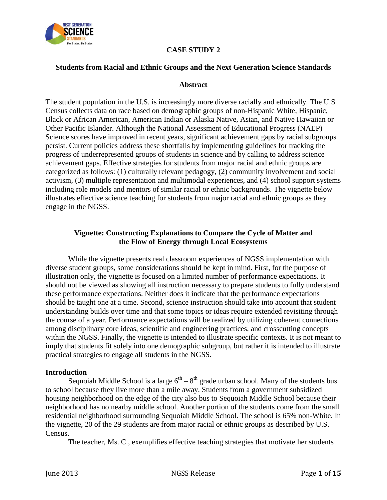

# **CASE STUDY 2**

#### **Students from Racial and Ethnic Groups and the Next Generation Science Standards**

#### **Abstract**

The student population in the U.S. is increasingly more diverse racially and ethnically. The U.S Census collects data on race based on demographic groups of non-Hispanic White, Hispanic, Black or African American, American Indian or Alaska Native, Asian, and Native Hawaiian or Other Pacific Islander. Although the National Assessment of Educational Progress (NAEP) Science scores have improved in recent years, significant achievement gaps by racial subgroups persist. Current policies address these shortfalls by implementing guidelines for tracking the progress of underrepresented groups of students in science and by calling to address science achievement gaps. Effective strategies for students from major racial and ethnic groups are categorized as follows: (1) culturally relevant pedagogy, (2) community involvement and social activism, (3) multiple representation and multimodal experiences, and (4) school support systems including role models and mentors of similar racial or ethnic backgrounds. The vignette below illustrates effective science teaching for students from major racial and ethnic groups as they engage in the NGSS.

## **Vignette: Constructing Explanations to Compare the Cycle of Matter and the Flow of Energy through Local Ecosystems**

While the vignette presents real classroom experiences of NGSS implementation with diverse student groups, some considerations should be kept in mind. First, for the purpose of illustration only, the vignette is focused on a limited number of performance expectations. It should not be viewed as showing all instruction necessary to prepare students to fully understand these performance expectations. Neither does it indicate that the performance expectations should be taught one at a time. Second, science instruction should take into account that student understanding builds over time and that some topics or ideas require extended revisiting through the course of a year. Performance expectations will be realized by utilizing coherent connections among disciplinary core ideas, scientific and engineering practices, and crosscutting concepts within the NGSS. Finally, the vignette is intended to illustrate specific contexts. It is not meant to imply that students fit solely into one demographic subgroup, but rather it is intended to illustrate practical strategies to engage all students in the NGSS.

#### **Introduction**

Sequoiah Middle School is a large  $6<sup>th</sup> - 8<sup>th</sup>$  grade urban school. Many of the students bus to school because they live more than a mile away. Students from a government subsidized housing neighborhood on the edge of the city also bus to Sequoiah Middle School because their neighborhood has no nearby middle school. Another portion of the students come from the small residential neighborhood surrounding Sequoiah Middle School. The school is 65% non-White. In the vignette, 20 of the 29 students are from major racial or ethnic groups as described by U.S. Census.

The teacher, Ms. C., exemplifies effective teaching strategies that motivate her students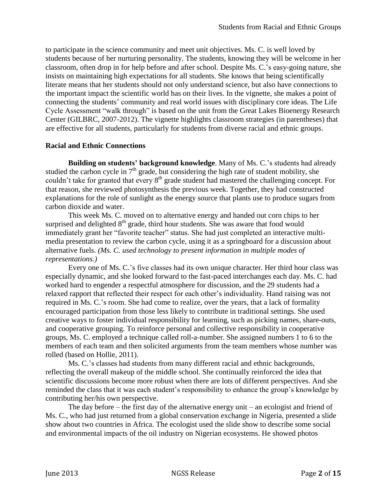to participate in the science community and meet unit objectives. Ms. C. is well loved by students because of her nurturing personality. The students, knowing they will be welcome in her classroom, often drop in for help before and after school. Despite Ms. C.'s easy-going nature, she insists on maintaining high expectations for all students. She knows that being scientifically literate means that her students should not only understand science, but also have connections to the important impact the scientific world has on their lives. In the vignette, she makes a point of connecting the students' community and real world issues with disciplinary core ideas. The Life Cycle Assessment "walk through" is based on the unit from the Great Lakes Bioenergy Research Center (GILBRC, 2007-2012). The vignette highlights classroom strategies (in parentheses) that are effective for all students, particularly for students from diverse racial and ethnic groups.

## **Racial and Ethnic Connections**

**Building on students' background knowledge**. Many of Ms. C.'s students had already studied the carbon cycle in  $7<sup>th</sup>$  grade, but considering the high rate of student mobility, she couldn't take for granted that every 8<sup>th</sup> grade student had mastered the challenging concept. For that reason, she reviewed photosynthesis the previous week. Together, they had constructed explanations for the role of sunlight as the energy source that plants use to produce sugars from carbon dioxide and water.

This week Ms. C. moved on to alternative energy and handed out corn chips to her surprised and delighted  $8<sup>th</sup>$  grade, third hour students. She was aware that food would immediately grant her "favorite teacher" status. She had just completed an interactive multimedia presentation to review the carbon cycle, using it as a springboard for a discussion about alternative fuels. *(Ms. C. used technology to present information in multiple modes of representations.)*

Every one of Ms. C.'s five classes had its own unique character. Her third hour class was especially dynamic, and she looked forward to the fast-paced interchanges each day. Ms. C. had worked hard to engender a respectful atmosphere for discussion, and the 29 students had a relaxed rapport that reflected their respect for each other's individuality. Hand raising was not required in Ms. C.'s room. She had come to realize, over the years, that a lack of formality encouraged participation from those less likely to contribute in traditional settings. She used creative ways to foster individual responsibility for learning, such as picking names, share-outs, and cooperative grouping. To reinforce personal and collective responsibility in cooperative groups, Ms. C. employed a technique called roll-a-number. She assigned numbers 1 to 6 to the members of each team and then solicited arguments from the team members whose number was rolled (based on Hollie, 2011).

Ms. C.'s classes had students from many different racial and ethnic backgrounds, reflecting the overall makeup of the middle school. She continually reinforced the idea that scientific discussions become more robust when there are lots of different perspectives. And she reminded the class that it was each student's responsibility to enhance the group's knowledge by contributing her/his own perspective.

The day before – the first day of the alternative energy unit – an ecologist and friend of Ms. C., who had just returned from a global conservation exchange in Nigeria, presented a slide show about two countries in Africa. The ecologist used the slide show to describe some social and environmental impacts of the oil industry on Nigerian ecosystems. He showed photos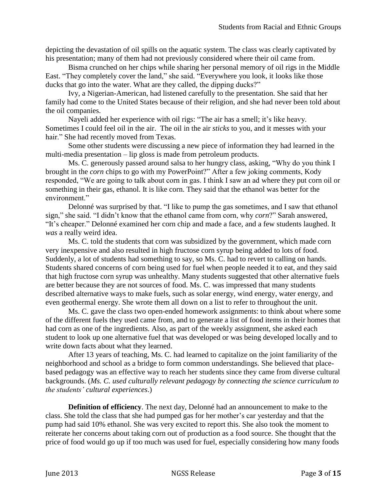depicting the devastation of oil spills on the aquatic system. The class was clearly captivated by his presentation; many of them had not previously considered where their oil came from.

Bisma crunched on her chips while sharing her personal memory of oil rigs in the Middle East. "They completely cover the land," she said. "Everywhere you look, it looks like those ducks that go into the water. What are they called, the dipping ducks?"

Ivy, a Nigerian-American, had listened carefully to the presentation. She said that her family had come to the United States because of their religion, and she had never been told about the oil companies.

Nayeli added her experience with oil rigs: "The air has a smell; it's like heavy. Sometimes I could feel oil in the air. The oil in the air *sticks* to you, and it messes with your hair." She had recently moved from Texas.

Some other students were discussing a new piece of information they had learned in the multi-media presentation – lip gloss is made from petroleum products.

Ms. C. generously passed around salsa to her hungry class, asking, "Why do you think I brought in the *corn* chips to go with my PowerPoint?" After a few joking comments, Kody responded, "We are going to talk about corn in gas. I think I saw an ad where they put corn oil or something in their gas, ethanol. It is like corn. They said that the ethanol was better for the environment."

Delonné was surprised by that. "I like to pump the gas sometimes, and I saw that ethanol sign," she said. "I didn't know that the ethanol came from corn, why *corn*?" Sarah answered, "It's cheaper." Delonné examined her corn chip and made a face, and a few students laughed. It *was* a really weird idea.

Ms. C. told the students that corn was subsidized by the government, which made corn very inexpensive and also resulted in high fructose corn syrup being added to lots of food. Suddenly, a lot of students had something to say, so Ms. C. had to revert to calling on hands. Students shared concerns of corn being used for fuel when people needed it to eat, and they said that high fructose corn syrup was unhealthy. Many students suggested that other alternative fuels are better because they are not sources of food. Ms. C. was impressed that many students described alternative ways to make fuels, such as solar energy, wind energy, water energy, and even geothermal energy. She wrote them all down on a list to refer to throughout the unit.

Ms. C. gave the class two open-ended homework assignments: to think about where some of the different fuels they used came from, and to generate a list of food items in their homes that had corn as one of the ingredients. Also, as part of the weekly assignment, she asked each student to look up one alternative fuel that was developed or was being developed locally and to write down facts about what they learned.

After 13 years of teaching, Ms. C. had learned to capitalize on the joint familiarity of the neighborhood and school as a bridge to form common understandings. She believed that placebased pedagogy was an effective way to reach her students since they came from diverse cultural backgrounds. (*Ms. C. used culturally relevant pedagogy by connecting the science curriculum to the students' cultural experiences*.)

**Definition of efficiency**. The next day, Delonné had an announcement to make to the class. She told the class that she had pumped gas for her mother's car yesterday and that the pump had said 10% ethanol. She was very excited to report this. She also took the moment to reiterate her concerns about taking corn out of production as a food source. She thought that the price of food would go up if too much was used for fuel, especially considering how many foods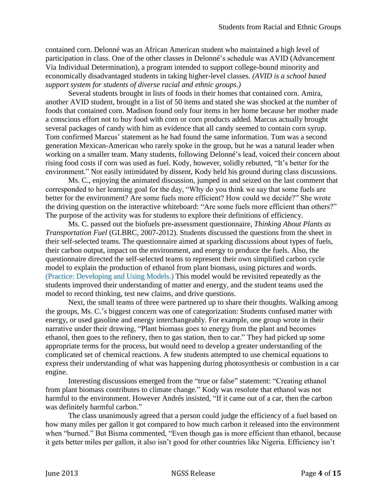contained corn. Delonné was an African American student who maintained a high level of participation in class. One of the other classes in Delonné's schedule was AVID (Advancement Via Individual Determination), a program intended to support college-bound minority and economically disadvantaged students in taking higher-level classes. *(AVID is a school based support system for students of diverse racial and ethnic groups.)*

Several students brought in lists of foods in their homes that contained corn. Amira, another AVID student, brought in a list of 50 items and stated she was shocked at the number of foods that contained corn. Madison found only four items in her home because her mother made a conscious effort not to buy food with corn or corn products added. Marcus actually brought several packages of candy with him as evidence that all candy seemed to contain corn syrup. Tom confirmed Marcus' statement as he had found the same information. Tom was a second generation Mexican-American who rarely spoke in the group, but he was a natural leader when working on a smaller team. Many students, following Delonné's lead, voiced their concern about rising food costs if corn was used as fuel. Kody, however, solidly rebutted, "It's better for the environment." Not easily intimidated by dissent, Kody held his ground during class discussions.

Ms. C., enjoying the animated discussion, jumped in and seized on the last comment that corresponded to her learning goal for the day, "Why do you think we say that some fuels are better for the environment? Are some fuels more efficient? How could we decide?" She wrote the driving question on the interactive whiteboard: "Are some fuels more efficient than others?" The purpose of the activity was for students to explore their definitions of efficiency.

Ms. C. passed out the biofuels pre-assessment questionnaire, *Thinking About Plants as Transportation Fuel* (GLBRC, 2007-2012). Students discussed the questions from the sheet in their self-selected teams. The questionnaire aimed at sparking discussions about types of fuels, their carbon output, impact on the environment, and energy to produce the fuels. Also, the questionnaire directed the self-selected teams to represent their own simplified carbon cycle model to explain the production of ethanol from plant biomass, using pictures and words. (Practice: Developing and Using Models.) This model would be revisited repeatedly as the students improved their understanding of matter and energy, and the student teams used the model to record thinking, test new claims, and drive questions.

Next, the small teams of three were partnered up to share their thoughts. Walking among the groups, Ms. C.'s biggest concern was one of categorization: Students confused matter with energy, or used gasoline and energy interchangeably. For example, one group wrote in their narrative under their drawing, "Plant biomass goes to energy from the plant and becomes ethanol, then goes to the refinery, then to gas station, then to car." They had picked up some appropriate terms for the process, but would need to develop a greater understanding of the complicated set of chemical reactions. A few students attempted to use chemical equations to express their understanding of what was happening during photosynthesis or combustion in a car engine.

Interesting discussions emerged from the "true or false" statement: "Creating ethanol from plant biomass contributes to climate change*.*" Kody was resolute that ethanol was not harmful to the environment. However Andrés insisted, "If it came out of a car, then the carbon was definitely harmful carbon."

The class unanimously agreed that a person could judge the efficiency of a fuel based on how many miles per gallon it got compared to how much carbon it released into the environment when "burned." But Bisma commented, "Even though gas is more efficient than ethanol, because it gets better miles per gallon, it also isn't good for other countries like Nigeria. Efficiency isn't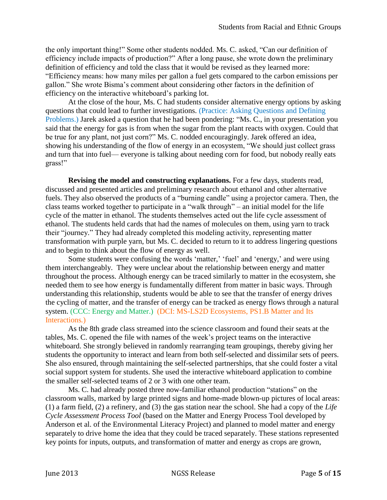the only important thing!" Some other students nodded. Ms. C. asked, "Can our definition of efficiency include impacts of production?" After a long pause, she wrote down the preliminary definition of efficiency and told the class that it would be revised as they learned more: "Efficiency means: how many miles per gallon a fuel gets compared to the carbon emissions per gallon." She wrote Bisma's comment about considering other factors in the definition of efficiency on the interactive whiteboard's parking lot.

At the close of the hour, Ms. C had students consider alternative energy options by asking questions that could lead to further investigations. (Practice: Asking Questions and Defining Problems.) Jarek asked a question that he had been pondering: "Ms. C., in your presentation you said that the energy for gas is from when the sugar from the plant reacts with oxygen. Could that be true for any plant, not just corn?" Ms. C. nodded encouragingly. Jarek offered an idea, showing his understanding of the flow of energy in an ecosystem, "We should just collect grass and turn that into fuel— everyone is talking about needing corn for food, but nobody really eats grass!"

**Revising the model and constructing explanations.** For a few days, students read, discussed and presented articles and preliminary research about ethanol and other alternative fuels. They also observed the products of a "burning candle" using a projector camera. Then, the class teams worked together to participate in a "walk through" – an initial model for the life cycle of the matter in ethanol. The students themselves acted out the life cycle assessment of ethanol. The students held cards that had the names of molecules on them, using yarn to track their "journey." They had already completed this modeling activity, representing matter transformation with purple yarn, but Ms. C. decided to return to it to address lingering questions and to begin to think about the flow of energy as well.

Some students were confusing the words 'matter,' 'fuel' and 'energy,' and were using them interchangeably. They were unclear about the relationship between energy and matter throughout the process. Although energy can be traced similarly to matter in the ecosystem, she needed them to see how energy is fundamentally different from matter in basic ways. Through understanding this relationship, students would be able to see that the transfer of energy drives the cycling of matter, and the transfer of energy can be tracked as energy flows through a natural system. (CCC: Energy and Matter.) (DCI: MS-LS2D Ecosystems, PS1.B Matter and Its Interactions*.*)

As the 8th grade class streamed into the science classroom and found their seats at the tables, Ms. C. opened the file with names of the week's project teams on the interactive whiteboard. She strongly believed in randomly rearranging team groupings, thereby giving her students the opportunity to interact and learn from both self-selected and dissimilar sets of peers. She also ensured, through maintaining the self-selected partnerships, that she could foster a vital social support system for students. She used the interactive whiteboard application to combine the smaller self-selected teams of 2 or 3 with one other team.

Ms. C. had already posted three now-familiar ethanol production "stations" on the classroom walls, marked by large printed signs and home-made blown-up pictures of local areas: (1) a farm field, (2) a refinery, and (3) the gas station near the school. She had a copy of the *Life Cycle Assessment Process Tool* (based on the Matter and Energy Process Tool developed by Anderson et al. of the Environmental Literacy Project) and planned to model matter and energy separately to drive home the idea that they could be traced separately. These stations represented key points for inputs, outputs, and transformation of matter and energy as crops are grown,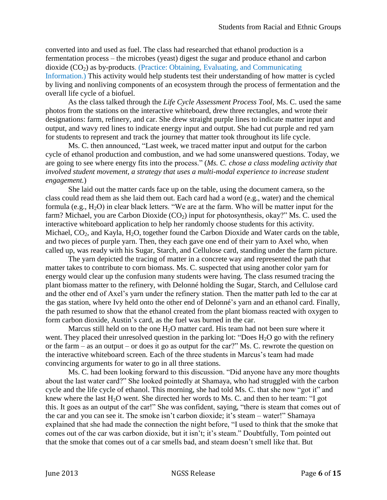converted into and used as fuel. The class had researched that ethanol production is a fermentation process – the microbes (yeast) digest the sugar and produce ethanol and carbon dioxide  $(CO<sub>2</sub>)$  as by-products. (Practice: Obtaining, Evaluating, and Communicating Information.) This activity would help students test their understanding of how matter is cycled by living and nonliving components of an ecosystem through the process of fermentation and the overall life cycle of a biofuel.

As the class talked through the *Life Cycle Assessment Process Tool,* Ms. C. used the same photos from the stations on the interactive whiteboard, drew three rectangles, and wrote their designations: farm, refinery, and car. She drew straight purple lines to indicate matter input and output, and wavy red lines to indicate energy input and output. She had cut purple and red yarn for students to represent and track the journey that matter took throughout its life cycle.

Ms. C. then announced, "Last week, we traced matter input and output for the carbon cycle of ethanol production and combustion, and we had some unanswered questions. Today, we are going to see where energy fits into the process." (*Ms. C. chose a class modeling activity that involved student movement, a strategy that uses a multi-modal experience to increase student engagement.*)

She laid out the matter cards face up on the table, using the document camera, so the class could read them as she laid them out. Each card had a word (e.g., water) and the chemical formula (e.g.,  $H_2O$ ) in clear black letters. "We are at the farm. Who will be matter input for the farm? Michael, you are Carbon Dioxide  $(CO_2)$  input for photosynthesis, okay?" Ms. C. used the interactive whiteboard application to help her randomly choose students for this activity. Michael,  $CO<sub>2</sub>$ , and Kayla, H<sub>2</sub>O, together found the Carbon Dioxide and Water cards on the table, and two pieces of purple yarn. Then, they each gave one end of their yarn to Axel who, when called up, was ready with his Sugar, Starch, and Cellulose card, standing under the farm picture.

The yarn depicted the tracing of matter in a concrete way and represented the path that matter takes to contribute to corn biomass. Ms. C. suspected that using another color yarn for energy would clear up the confusion many students were having. The class resumed tracing the plant biomass matter to the refinery, with Delonné holding the Sugar, Starch, and Cellulose card and the other end of Axel's yarn under the refinery station. Then the matter path led to the car at the gas station, where Ivy held onto the other end of Delonné's yarn and an ethanol card. Finally, the path resumed to show that the ethanol created from the plant biomass reacted with oxygen to form carbon dioxide, Austin's card, as the fuel was burned in the car.

Marcus still held on to the one  $H_2O$  matter card. His team had not been sure where it went. They placed their unresolved question in the parking lot: "Does  $H_2O$  go with the refinery or the farm – as an output – or does it go as output for the car?" Ms. C. rewrote the question on the interactive whiteboard screen. Each of the three students in Marcus's team had made convincing arguments for water to go in all three stations.

Ms. C. had been looking forward to this discussion. "Did anyone have any more thoughts about the last water card?" She looked pointedly at Shamaya, who had struggled with the carbon cycle and the life cycle of ethanol. This morning, she had told Ms. C. that she now "got it" and knew where the last  $H_2O$  went. She directed her words to Ms. C. and then to her team: "I got this. It goes as an output of the car!" She was confident, saying, "there is steam that comes out of the car and you can see it. The smoke isn't carbon dioxide; it's steam – water!" Shamaya explained that she had made the connection the night before, "I used to think that the smoke that comes out of the car was carbon dioxide, but it isn't; it's steam." Doubtfully, Tom pointed out that the smoke that comes out of a car smells bad, and steam doesn't smell like that. But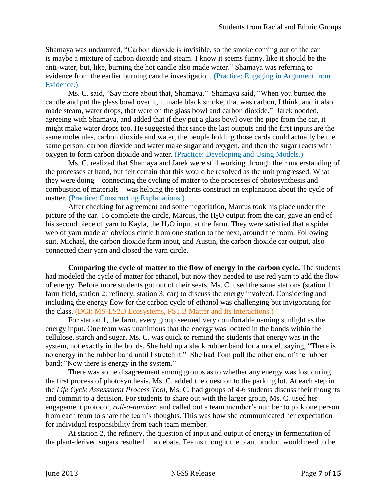Shamaya was undaunted, "Carbon dioxide is invisible, so the smoke coming out of the car is maybe a mixture of carbon dioxide and steam. I know it seems funny, like it should be the anti-water, but, like, burning the hot candle also made water." Shamaya was referring to evidence from the earlier burning candle investigation. (Practice: Engaging in Argument from Evidence.)

Ms. C. said, "Say more about that, Shamaya." Shamaya said, "When you burned the candle and put the glass bowl over it, it made black smoke; that was carbon, I think, and it also made steam, water drops, that were on the glass bowl and carbon dioxide." Jarek nodded, agreeing with Shamaya, and added that if they put a glass bowl over the pipe from the car, it might make water drops too. He suggested that since the last outputs and the first inputs are the same molecules, carbon dioxide and water, the people holding those cards could actually be the same person: carbon dioxide and water make sugar and oxygen, and then the sugar reacts with oxygen to form carbon dioxide and water. (Practice: Developing and Using Models.)

Ms. C. realized that Shamaya and Jarek were still working through their understanding of the processes at hand, but felt certain that this would be resolved as the unit progressed. What they were doing – connecting the cycling of matter to the processes of photosynthesis and combustion of materials – was helping the students construct an explanation about the cycle of matter. (Practice: Constructing Explanations.)

After checking for agreement and some negotiation, Marcus took his place under the picture of the car. To complete the circle, Marcus, the  $H_2O$  output from the car, gave an end of his second piece of yarn to Kayla, the  $H_2O$  input at the farm. They were satisfied that a spider web of yarn made an obvious circle from one station to the next, around the room. Following suit, Michael, the carbon dioxide farm input, and Austin, the carbon dioxide car output, also connected their yarn and closed the yarn circle.

**Comparing the cycle of matter to the flow of energy in the carbon cycle.** The students had modeled the cycle of matter for ethanol, but now they needed to use red yarn to add the flow of energy. Before more students got out of their seats, Ms. C. used the same stations (station 1: farm field, station 2: refinery, station 3: car) to discuss the energy involved. Considering and including the energy flow for the carbon cycle of ethanol was challenging but invigorating for the class. (DCI: MS-LS2D Ecosystems, PS1.B Matter and Its Interactions.)

For station 1, the farm, every group seemed very comfortable naming sunlight as the energy input. One team was unanimous that the energy was located in the bonds within the cellulose, starch and sugar. Ms. C. was quick to remind the students that energy was in the system, not exactly in the bonds. She held up a slack rubber band for a model, saying, "There is no energy in the rubber band until I stretch it." She had Tom pull the other end of the rubber band; "Now there is energy in the system."

There was some disagreement among groups as to whether any energy was lost during the first process of photosynthesis. Ms. C. added the question to the parking lot. At each step in the *Life Cycle Assessment Process Tool*, Ms. C. had groups of 4-6 students discuss their thoughts and commit to a decision. For students to share out with the larger group, Ms. C. used her engagement protocol, *roll-a-number,* and called out a team member's number to pick one person from each team to share the team's thoughts. This was how she communicated her expectation for individual responsibility from each team member.

At station 2, the refinery, the question of input and output of energy in fermentation of the plant-derived sugars resulted in a debate. Teams thought the plant product would need to be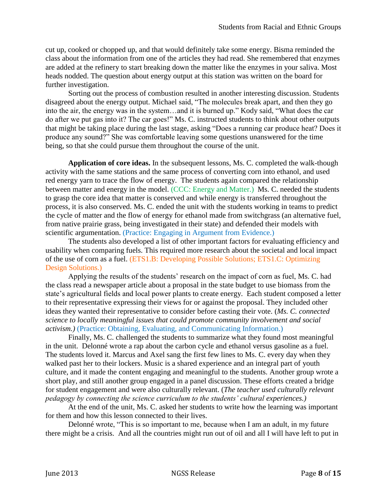cut up, cooked or chopped up, and that would definitely take some energy. Bisma reminded the class about the information from one of the articles they had read. She remembered that enzymes are added at the refinery to start breaking down the matter like the enzymes in your saliva. Most heads nodded. The question about energy output at this station was written on the board for further investigation.

Sorting out the process of combustion resulted in another interesting discussion. Students disagreed about the energy output. Michael said, "The molecules break apart, and then they go into the air, the energy was in the system…and it is burned up." Kody said, "What does the car do after we put gas into it? The car goes!" Ms. C. instructed students to think about other outputs that might be taking place during the last stage, asking "Does a running car produce heat? Does it produce any sound?" She was comfortable leaving some questions unanswered for the time being, so that she could pursue them throughout the course of the unit.

**Application of core ideas.** In the subsequent lessons, Ms. C. completed the walk-though activity with the same stations and the same process of converting corn into ethanol, and used red energy yarn to trace the flow of energy. The students again compared the relationship between matter and energy in the model. (CCC: Energy and Matter.) Ms. C. needed the students to grasp the core idea that matter is conserved and while energy is transferred throughout the process, it is also conserved. Ms. C. ended the unit with the students working in teams to predict the cycle of matter and the flow of energy for ethanol made from switchgrass (an alternative fuel, from native prairie grass, being investigated in their state) and defended their models with scientific argumentation. (Practice: Engaging in Argument from Evidence.)

The students also developed a list of other important factors for evaluating efficiency and usability when comparing fuels. This required more research about the societal and local impact of the use of corn as a fuel. (ETS1.B: Developing Possible Solutions; ETS1.C: Optimizing Design Solutions.)

Applying the results of the students' research on the impact of corn as fuel, Ms. C. had the class read a newspaper article about a proposal in the state budget to use biomass from the state's agricultural fields and local power plants to create energy. Each student composed a letter to their representative expressing their views for or against the proposal. They included other ideas they wanted their representative to consider before casting their vote. (*Ms. C. connected science to locally meaningful issues that could promote community involvement and social activism.)* (Practice: Obtaining, Evaluating, and Communicating Information.)

Finally, Ms. C. challenged the students to summarize what they found most meaningful in the unit. Delonné wrote a rap about the carbon cycle and ethanol versus gasoline as a fuel. The students loved it. Marcus and Axel sang the first few lines to Ms. C. every day when they walked past her to their lockers. Music is a shared experience and an integral part of youth culture, and it made the content engaging and meaningful to the students. Another group wrote a short play, and still another group engaged in a panel discussion. These efforts created a bridge for student engagement and were also culturally relevant. (*The teacher used culturally relevant pedagogy by connecting the science curriculum to the students' cultural experiences.)*

At the end of the unit, Ms. C. asked her students to write how the learning was important for them and how this lesson connected to their lives.

Delonné wrote, "This is so important to me, because when I am an adult, in my future there might be a crisis. And all the countries might run out of oil and all I will have left to put in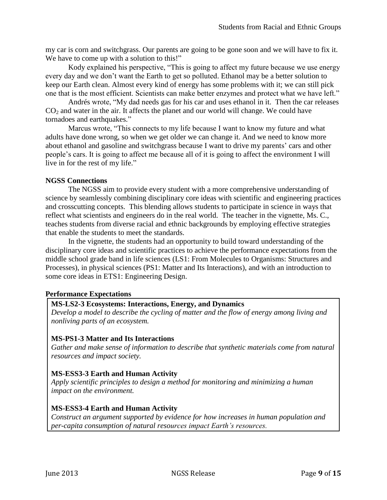my car is corn and switchgrass. Our parents are going to be gone soon and we will have to fix it. We have to come up with a solution to this!"

Kody explained his perspective, "This is going to affect my future because we use energy every day and we don't want the Earth to get so polluted. Ethanol may be a better solution to keep our Earth clean. Almost every kind of energy has some problems with it; we can still pick one that is the most efficient. Scientists can make better enzymes and protect what we have left."

Andrés wrote, "My dad needs gas for his car and uses ethanol in it. Then the car releases  $CO<sub>2</sub>$  and water in the air. It affects the planet and our world will change. We could have tornadoes and earthquakes."

Marcus wrote, "This connects to my life because I want to know my future and what adults have done wrong, so when we get older we can change it. And we need to know more about ethanol and gasoline and switchgrass because I want to drive my parents' cars and other people's cars. It is going to affect me because all of it is going to affect the environment I will live in for the rest of my life."

## **NGSS Connections**

The NGSS aim to provide every student with a more comprehensive understanding of science by seamlessly combining disciplinary core ideas with scientific and engineering practices and crosscutting concepts. This blending allows students to participate in science in ways that reflect what scientists and engineers do in the real world. The teacher in the vignette, Ms. C., teaches students from diverse racial and ethnic backgrounds by employing effective strategies that enable the students to meet the standards.

In the vignette, the students had an opportunity to build toward understanding of the disciplinary core ideas and scientific practices to achieve the performance expectations from the middle school grade band in life sciences (LS1: From Molecules to Organisms: Structures and Processes), in physical sciences (PS1: Matter and Its Interactions), and with an introduction to some core ideas in ETS1: Engineering Design.

## **Performance Expectations**

## **MS-LS2-3 Ecosystems: Interactions, Energy, and Dynamics**

*Develop a model to describe the cycling of matter and the flow of energy among living and nonliving parts of an ecosystem.*

## **MS-PS1-3 Matter and Its Interactions**

*Gather and make sense of information to describe that synthetic materials come from natural resources and impact society.*

## **MS-ESS3-3 Earth and Human Activity**

*Apply scientific principles to design a method for monitoring and minimizing a human impact on the environment.*

## **MS-ESS3-4 Earth and Human Activity**

*Construct an argument supported by evidence for how increases in human population and per-capita consumption of natural resources impact Earth's resources.*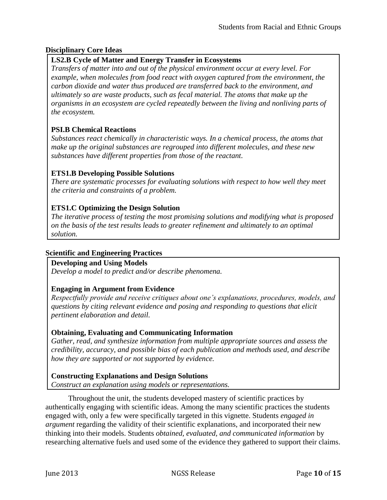# **Disciplinary Core Ideas**

# **LS2.B Cycle of Matter and Energy Transfer in Ecosystems**

*Transfers of matter into and out of the physical environment occur at every level. For example, when molecules from food react with oxygen captured from the environment, the carbon dioxide and water thus produced are transferred back to the environment, and ultimately so are waste products, such as fecal material. The atoms that make up the organisms in an ecosystem are cycled repeatedly between the living and nonliving parts of the ecosystem.*

# **PSI.B Chemical Reactions**

*Substances react chemically in characteristic ways. In a chemical process, the atoms that make up the original substances are regrouped into different molecules, and these new substances have different properties from those of the reactant.*

# **ETS1.B Developing Possible Solutions**

*There are systematic processes for evaluating solutions with respect to how well they meet the criteria and constraints of a problem.*

# **ETS1.C Optimizing the Design Solution**

*The iterative process of testing the most promising solutions and modifying what is proposed on the basis of the test results leads to greater refinement and ultimately to an optimal solution.*

## **Scientific and Engineering Practices**

**Developing and Using Models**

*Develop a model to predict and/or describe phenomena.*

## **Engaging in Argument from Evidence**

*Respectfully provide and receive critiques about one's explanations, procedures, models, and questions by citing relevant evidence and posing and responding to questions that elicit pertinent elaboration and detail.*

## **Obtaining, Evaluating and Communicating Information**

*Gather, read, and synthesize information from multiple appropriate sources and assess the credibility, accuracy, and possible bias of each publication and methods used, and describe how they are supported or not supported by evidence.*

**Constructing Explanations and Design Solutions** *Construct an explanation using models or representations.*

Throughout the unit, the students developed mastery of scientific practices by authentically engaging with scientific ideas. Among the many scientific practices the students engaged with, only a few were specifically targeted in this vignette. Students *engaged in argument* regarding the validity of their scientific explanations, and incorporated their new thinking into their models. Students *obtained, evaluated, and communicated information* by researching alternative fuels and used some of the evidence they gathered to support their claims.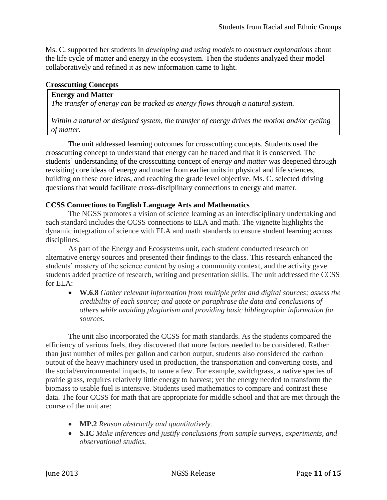Ms. C. supported her students in *developing and using models* to *construct explanations* about the life cycle of matter and energy in the ecosystem. Then the students analyzed their model collaboratively and refined it as new information came to light.

#### **Crosscutting Concepts**

## **Energy and Matter**

*The transfer of energy can be tracked as energy flows through a natural system.*

*Within a natural or designed system, the transfer of energy drives the motion and/or cycling of matter*.

The unit addressed learning outcomes for crosscutting concepts. Students used the crosscutting concept to understand that energy can be traced and that it is conserved. The students' understanding of the crosscutting concept of *energy and matter* was deepened through revisiting core ideas of energy and matter from earlier units in physical and life sciences, building on these core ideas, and reaching the grade level objective. Ms. C. selected driving questions that would facilitate cross-disciplinary connections to energy and matter.

#### **CCSS Connections to English Language Arts and Mathematics**

The NGSS promotes a vision of science learning as an interdisciplinary undertaking and each standard includes the CCSS connections to ELA and math. The vignette highlights the dynamic integration of science with ELA and math standards to ensure student learning across disciplines.

As part of the Energy and Ecosystems unit, each student conducted research on alternative energy sources and presented their findings to the class. This research enhanced the students' mastery of the science content by using a community context, and the activity gave students added practice of research, writing and presentation skills. The unit addressed the CCSS for ELA:

 **W.6.8** *Gather relevant information from multiple print and digital sources; assess the credibility of each source; and quote or paraphrase the data and conclusions of others while avoiding plagiarism and providing basic bibliographic information for sources.*

The unit also incorporated the CCSS for math standards. As the students compared the efficiency of various fuels, they discovered that more factors needed to be considered. Rather than just number of miles per gallon and carbon output, students also considered the carbon output of the heavy machinery used in production, the transportation and converting costs, and the social/environmental impacts, to name a few. For example, switchgrass, a native species of prairie grass, requires relatively little energy to harvest; yet the energy needed to transform the biomass to usable fuel is intensive. Students used mathematics to compare and contrast these data. The four CCSS for math that are appropriate for middle school and that are met through the course of the unit are:

- **MP.2** *Reason abstractly and quantitatively.*
- **S.IC** *Make inferences and justify conclusions from sample surveys, experiments, and observational studies.*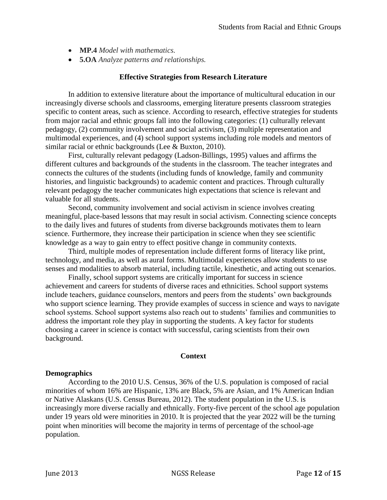- **MP.4** *Model with mathematics.*
- **5.OA** *Analyze patterns and relationships.*

#### **Effective Strategies from Research Literature**

In addition to extensive literature about the importance of multicultural education in our increasingly diverse schools and classrooms, emerging literature presents classroom strategies specific to content areas, such as science. According to research, effective strategies for students from major racial and ethnic groups fall into the following categories: (1) culturally relevant pedagogy, (2) community involvement and social activism, (3) multiple representation and multimodal experiences, and (4) school support systems including role models and mentors of similar racial or ethnic backgrounds (Lee & Buxton, 2010).

First, culturally relevant pedagogy (Ladson-Billings, 1995) values and affirms the different cultures and backgrounds of the students in the classroom. The teacher integrates and connects the cultures of the students (including funds of knowledge, family and community histories, and linguistic backgrounds) to academic content and practices. Through culturally relevant pedagogy the teacher communicates high expectations that science is relevant and valuable for all students.

Second, community involvement and social activism in science involves creating meaningful, place-based lessons that may result in social activism. Connecting science concepts to the daily lives and futures of students from diverse backgrounds motivates them to learn science. Furthermore, they increase their participation in science when they see scientific knowledge as a way to gain entry to effect positive change in community contexts.

Third, multiple modes of representation include different forms of literacy like print, technology, and media, as well as aural forms. Multimodal experiences allow students to use senses and modalities to absorb material, including tactile, kinesthetic, and acting out scenarios.

Finally, school support systems are critically important for success in science achievement and careers for students of diverse races and ethnicities. School support systems include teachers, guidance counselors, mentors and peers from the students' own backgrounds who support science learning. They provide examples of success in science and ways to navigate school systems. School support systems also reach out to students' families and communities to address the important role they play in supporting the students. A key factor for students choosing a career in science is contact with successful, caring scientists from their own background.

#### **Context**

#### **Demographics**

According to the 2010 U.S. Census, 36% of the U.S. population is composed of racial minorities of whom 16% are Hispanic, 13% are Black, 5% are Asian, and 1% American Indian or Native Alaskans (U.S. Census Bureau, 2012). The student population in the U.S. is increasingly more diverse racially and ethnically. Forty-five percent of the school age population under 19 years old were minorities in 2010. It is projected that the year 2022 will be the turning point when minorities will become the majority in terms of percentage of the school-age population.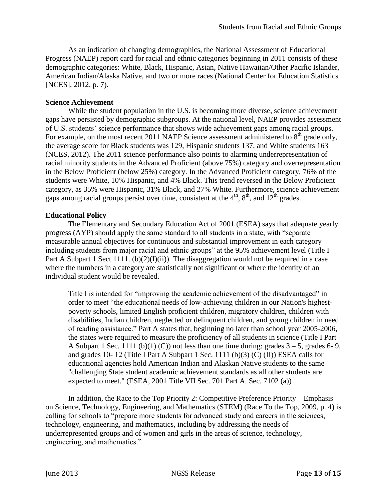As an indication of changing demographics, the National Assessment of Educational Progress (NAEP) report card for racial and ethnic categories beginning in 2011 consists of these demographic categories: White, Black, Hispanic, Asian, Native Hawaiian/Other Pacific Islander, American Indian/Alaska Native, and two or more races (National Center for Education Statistics [NCES], 2012, p. 7).

#### **Science Achievement**

While the student population in the U.S. is becoming more diverse, science achievement gaps have persisted by demographic subgroups. At the national level, NAEP provides assessment of U.S. students' science performance that shows wide achievement gaps among racial groups. For example, on the most recent 2011 NAEP Science assessment administered to  $8<sup>th</sup>$  grade only, the average score for Black students was 129, Hispanic students 137, and White students 163 (NCES, 2012). The 2011 science performance also points to alarming underrepresentation of racial minority students in the Advanced Proficient (above 75%) category and overrepresentation in the Below Proficient (below 25%) category. In the Advanced Proficient category, 76% of the students were White, 10% Hispanic, and 4% Black. This trend reversed in the Below Proficient category, as 35% were Hispanic, 31% Black, and 27% White. Furthermore, science achievement gaps among racial groups persist over time, consistent at the  $4<sup>th</sup>$ ,  $8<sup>th</sup>$ , and  $12<sup>th</sup>$  grades.

#### **Educational Policy**

The Elementary and Secondary Education Act of 2001 (ESEA) says that adequate yearly progress (AYP) should apply the same standard to all students in a state, with "separate measurable annual objectives for continuous and substantial improvement in each category including students from major racial and ethnic groups" at the 95% achievement level (Title I Part A Subpart 1 Sect 1111. (b) $(2)(I)(ii)$ ). The disaggregation would not be required in a case where the numbers in a category are statistically not significant or where the identity of an individual student would be revealed.

Title I is intended for "improving the academic achievement of the disadvantaged" in order to meet "the educational needs of low-achieving children in our Nation's highestpoverty schools, limited English proficient children, migratory children, children with disabilities, Indian children, neglected or delinquent children, and young children in need of reading assistance." Part A states that, beginning no later than school year 2005-2006, the states were required to measure the proficiency of all students in science (Title I Part A Subpart 1 Sec. 1111 (b)(1) (C)) not less than one time during: grades  $3-5$ , grades 6-9, and grades 10- 12 (Title I Part A Subpart 1 Sec. 1111 (b)(3) (C) (II)) ESEA calls for educational agencies hold American Indian and Alaskan Native students to the same "challenging State student academic achievement standards as all other students are expected to meet." (ESEA, 2001 Title VII Sec. 701 Part A. Sec. 7102 (a))

In addition, the Race to the Top Priority 2: Competitive Preference Priority – Emphasis on Science, Technology, Engineering, and Mathematics (STEM) (Race To the Top, 2009, p. 4) is calling for schools to "prepare more students for advanced study and careers in the sciences, technology, engineering, and mathematics, including by addressing the needs of underrepresented groups and of women and girls in the areas of science, technology, engineering, and mathematics."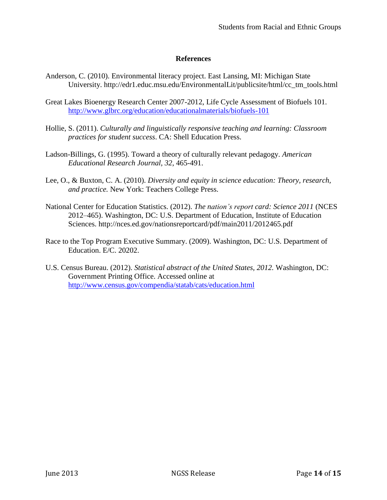#### **References**

- Anderson, C. (2010). Environmental literacy project. East Lansing, MI: Michigan State University. [http://edr1.educ.msu.edu/EnvironmentalLit/publicsite/html/cc\\_tm\\_tools.html](http://edr1.educ.msu.edu/EnvironmentalLit/publicsite/html/cc_tm_tools.html)
- Great Lakes Bioenergy Research Center 2007-2012, Life Cycle Assessment of Biofuels 101. <http://www.glbrc.org/education/educationalmaterials/biofuels-101>
- Hollie, S. (2011). *Culturally and linguistically responsive teaching and learning: Classroom practices for student success*. CA: Shell Education Press.
- Ladson-Billings, G. (1995). Toward a theory of culturally relevant pedagogy. *American Educational Research Journal, 32*, 465-491.
- Lee, O., & Buxton, C. A. (2010). *Diversity and equity in science education: Theory, research, and practice.* New York: Teachers College Press.
- National Center for Education Statistics. (2012). *The nation's report card: Science 2011* (NCES 2012–465). Washington, DC: U.S. Department of Education, Institute of Education Sciences. http://nces.ed.gov/nationsreportcard/pdf/main2011/2012465.pdf
- Race to the Top Program Executive Summary. (2009). Washington, DC: U.S. Department of Education. E/C. 20202.
- U.S. Census Bureau. (2012). *Statistical abstract of the United States, 2012.* Washington, DC: Government Printing Office. Accessed online at <http://www.census.gov/compendia/statab/cats/education.html>